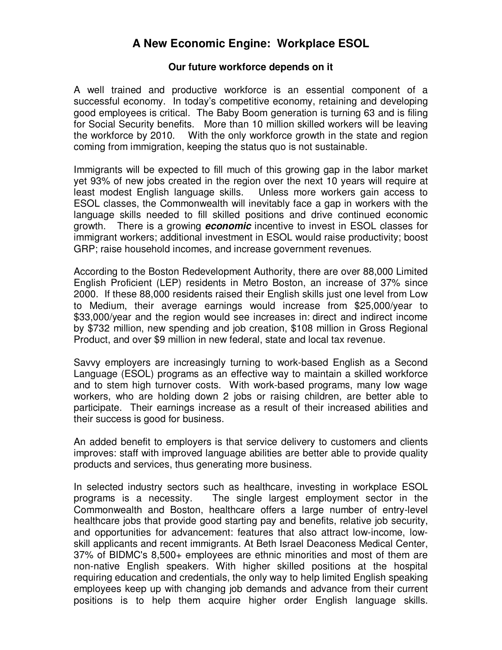## **A New Economic Engine: Workplace ESOL**

## **Our future workforce depends on it**

A well trained and productive workforce is an essential component of a successful economy. In today's competitive economy, retaining and developing good employees is critical. The Baby Boom generation is turning 63 and is filing for Social Security benefits. More than 10 million skilled workers will be leaving the workforce by 2010. With the only workforce growth in the state and region coming from immigration, keeping the status quo is not sustainable.

Immigrants will be expected to fill much of this growing gap in the labor market yet 93% of new jobs created in the region over the next 10 years will require at least modest English language skills. Unless more workers gain access to ESOL classes, the Commonwealth will inevitably face a gap in workers with the language skills needed to fill skilled positions and drive continued economic growth. There is a growing **economic** incentive to invest in ESOL classes for immigrant workers; additional investment in ESOL would raise productivity; boost GRP; raise household incomes, and increase government revenues.

According to the Boston Redevelopment Authority, there are over 88,000 Limited English Proficient (LEP) residents in Metro Boston, an increase of 37% since 2000. If these 88,000 residents raised their English skills just one level from Low to Medium, their average earnings would increase from \$25,000/year to \$33,000/year and the region would see increases in: direct and indirect income by \$732 million, new spending and job creation, \$108 million in Gross Regional Product, and over \$9 million in new federal, state and local tax revenue.

Savvy employers are increasingly turning to work-based English as a Second Language (ESOL) programs as an effective way to maintain a skilled workforce and to stem high turnover costs. With work-based programs, many low wage workers, who are holding down 2 jobs or raising children, are better able to participate. Their earnings increase as a result of their increased abilities and their success is good for business.

An added benefit to employers is that service delivery to customers and clients improves: staff with improved language abilities are better able to provide quality products and services, thus generating more business.

In selected industry sectors such as healthcare, investing in workplace ESOL programs is a necessity. The single largest employment sector in the Commonwealth and Boston, healthcare offers a large number of entry-level healthcare jobs that provide good starting pay and benefits, relative job security, and opportunities for advancement: features that also attract low-income, lowskill applicants and recent immigrants. At Beth Israel Deaconess Medical Center, 37% of BIDMC's 8,500+ employees are ethnic minorities and most of them are non-native English speakers. With higher skilled positions at the hospital requiring education and credentials, the only way to help limited English speaking employees keep up with changing job demands and advance from their current positions is to help them acquire higher order English language skills.